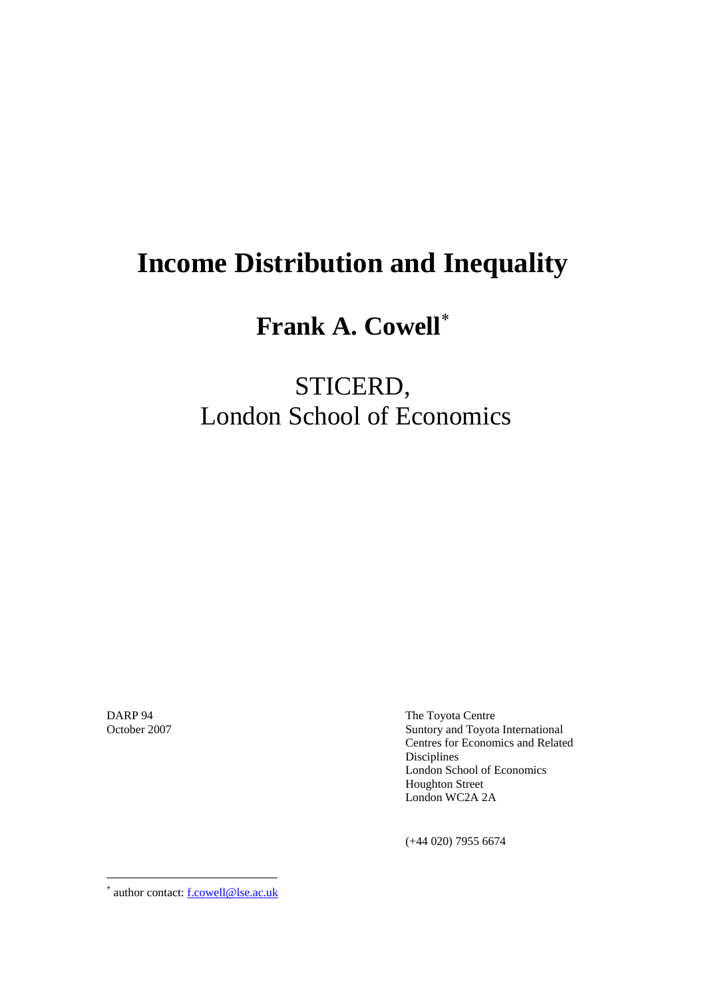# **Income Distribution and Inequality**

## **Frank A. Cowell**<sup>∗</sup>

## STICERD, London School of Economics

<u>.</u>

DARP 94 **The Toyota Centre** October 2007 Suntory and Toyota International Centres for Economics and Related Disciplines London School of Economics Houghton Street London WC2A 2A

(+44 020) 7955 6674

∗ author contact: f.cowell@lse.ac.uk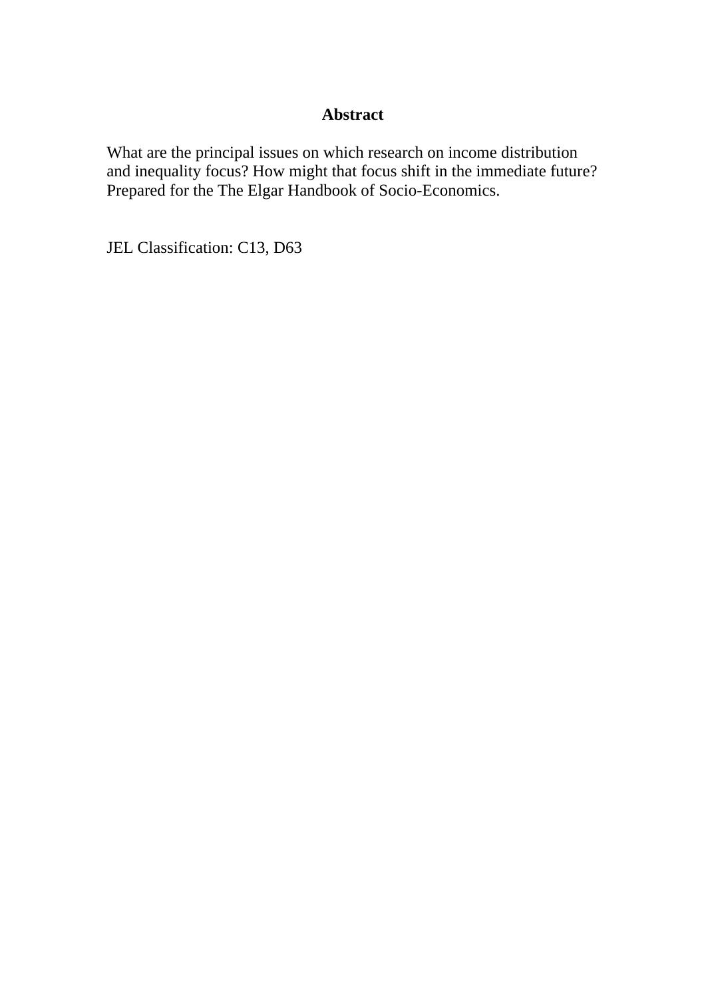## **Abstract**

What are the principal issues on which research on income distribution and inequality focus? How might that focus shift in the immediate future? Prepared for the The Elgar Handbook of Socio-Economics.

JEL Classification: C13, D63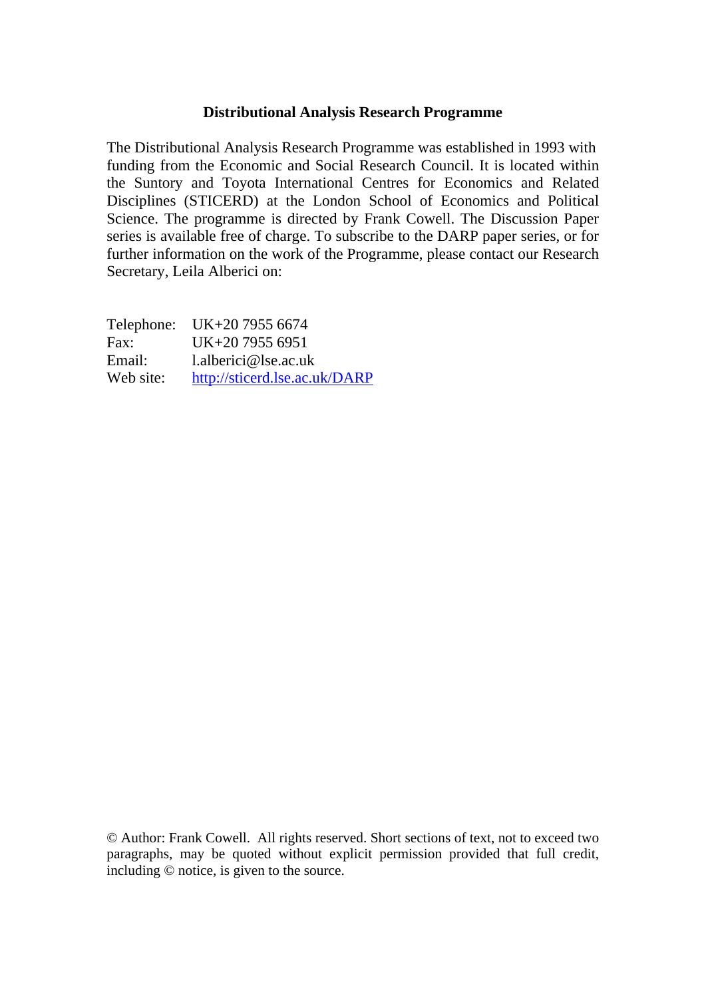### **Distributional Analysis Research Programme**

The Distributional Analysis Research Programme was established in 1993 with funding from the Economic and Social Research Council. It is located within the Suntory and Toyota International Centres for Economics and Related Disciplines (STICERD) at the London School of Economics and Political Science. The programme is directed by Frank Cowell. The Discussion Paper series is available free of charge. To subscribe to the DARP paper series, or for further information on the work of the Programme, please contact our Research Secretary, Leila Alberici on:

|           | Telephone: UK+20 7955 6674    |
|-----------|-------------------------------|
| Fax:      | UK+2079556951                 |
| Email:    | $l.$ alberici@lse.ac.uk       |
| Web site: | http://sticerd.lse.ac.uk/DARP |

© Author: Frank Cowell. All rights reserved. Short sections of text, not to exceed two paragraphs, may be quoted without explicit permission provided that full credit, including © notice, is given to the source.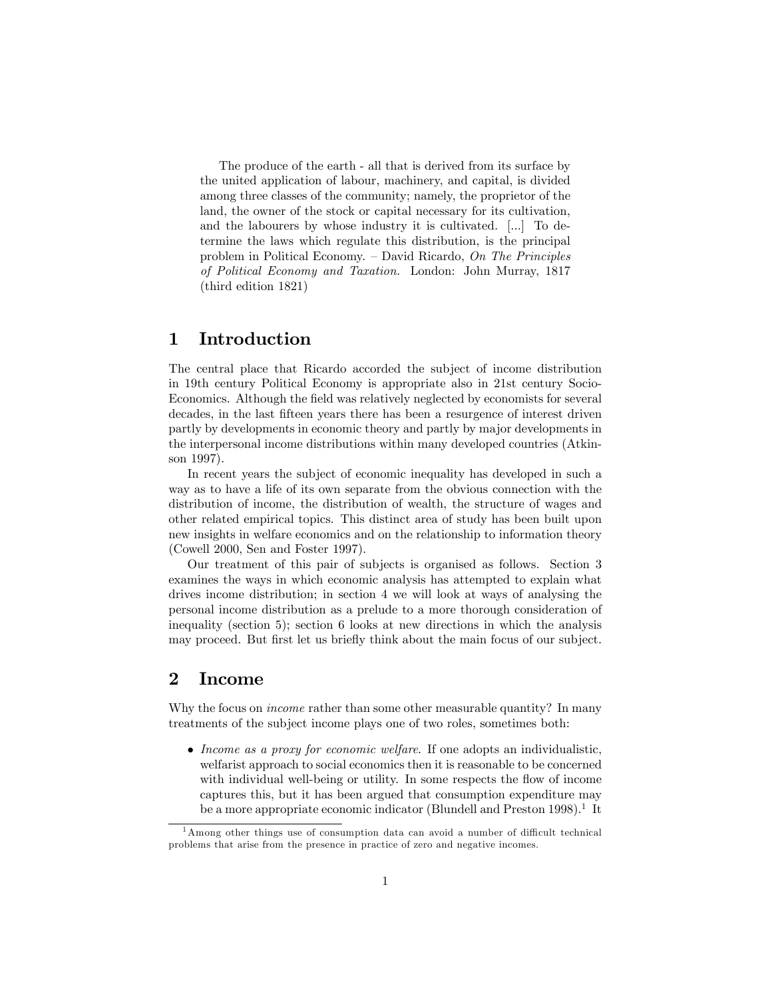The produce of the earth - all that is derived from its surface by the united application of labour, machinery, and capital, is divided among three classes of the community; namely, the proprietor of the land, the owner of the stock or capital necessary for its cultivation, and the labourers by whose industry it is cultivated. [...] To determine the laws which regulate this distribution, is the principal problem in Political Economy.  $\overline{\phantom{a}}$  David Ricardo, On The Principles of Political Economy and Taxation. London: John Murray, 1817 (third edition 1821)

## 1 Introduction

The central place that Ricardo accorded the subject of income distribution in 19th century Political Economy is appropriate also in 21st century Socio-Economics. Although the Öeld was relatively neglected by economists for several decades, in the last fifteen years there has been a resurgence of interest driven partly by developments in economic theory and partly by major developments in the interpersonal income distributions within many developed countries (Atkinson 1997).

In recent years the subject of economic inequality has developed in such a way as to have a life of its own separate from the obvious connection with the distribution of income, the distribution of wealth, the structure of wages and other related empirical topics. This distinct area of study has been built upon new insights in welfare economics and on the relationship to information theory (Cowell 2000, Sen and Foster 1997).

Our treatment of this pair of subjects is organised as follows. Section 3 examines the ways in which economic analysis has attempted to explain what drives income distribution; in section 4 we will look at ways of analysing the personal income distribution as a prelude to a more thorough consideration of inequality (section 5); section 6 looks at new directions in which the analysis may proceed. But first let us briefly think about the main focus of our subject.

## 2 Income

Why the focus on *income* rather than some other measurable quantity? In many treatments of the subject income plays one of two roles, sometimes both:

 $\bullet$  Income as a proxy for economic welfare. If one adopts an individualistic, welfarist approach to social economics then it is reasonable to be concerned with individual well-being or utility. In some respects the flow of income captures this, but it has been argued that consumption expenditure may be a more appropriate economic indicator (Blundell and Preston 1998).<sup>1</sup> It

 $1$ Among other things use of consumption data can avoid a number of difficult technical problems that arise from the presence in practice of zero and negative incomes.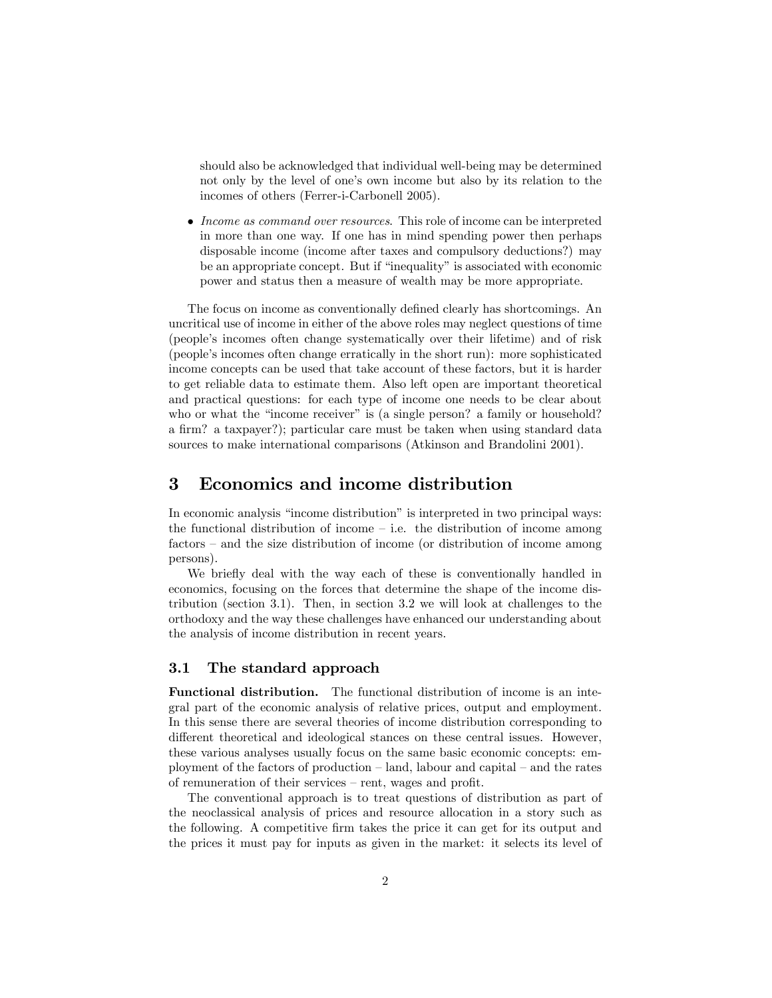should also be acknowledged that individual well-being may be determined not only by the level of one's own income but also by its relation to the incomes of others (Ferrer-i-Carbonell 2005).

• Income as command over resources. This role of income can be interpreted in more than one way. If one has in mind spending power then perhaps disposable income (income after taxes and compulsory deductions?) may be an appropriate concept. But if "inequality" is associated with economic power and status then a measure of wealth may be more appropriate.

The focus on income as conventionally defined clearly has shortcomings. An uncritical use of income in either of the above roles may neglect questions of time (people's incomes often change systematically over their lifetime) and of risk (people's incomes often change erratically in the short run): more sophisticated income concepts can be used that take account of these factors, but it is harder to get reliable data to estimate them. Also left open are important theoretical and practical questions: for each type of income one needs to be clear about who or what the "income receiver" is (a single person? a family or household? a firm? a taxpayer?); particular care must be taken when using standard data sources to make international comparisons (Atkinson and Brandolini 2001).

### 3 Economics and income distribution

In economic analysis "income distribution" is interpreted in two principal ways: the functional distribution of income  $-$  i.e. the distribution of income among factors  $-$  and the size distribution of income (or distribution of income among persons).

We briefly deal with the way each of these is conventionally handled in economics, focusing on the forces that determine the shape of the income distribution (section 3.1). Then, in section 3.2 we will look at challenges to the orthodoxy and the way these challenges have enhanced our understanding about the analysis of income distribution in recent years.

#### 3.1 The standard approach

Functional distribution. The functional distribution of income is an integral part of the economic analysis of relative prices, output and employment. In this sense there are several theories of income distribution corresponding to different theoretical and ideological stances on these central issues. However, these various analyses usually focus on the same basic economic concepts: employment of the factors of production  $-$  land, labour and capital  $-$  and the rates of remuneration of their services  $-$  rent, wages and profit.

The conventional approach is to treat questions of distribution as part of the neoclassical analysis of prices and resource allocation in a story such as the following. A competitive firm takes the price it can get for its output and the prices it must pay for inputs as given in the market: it selects its level of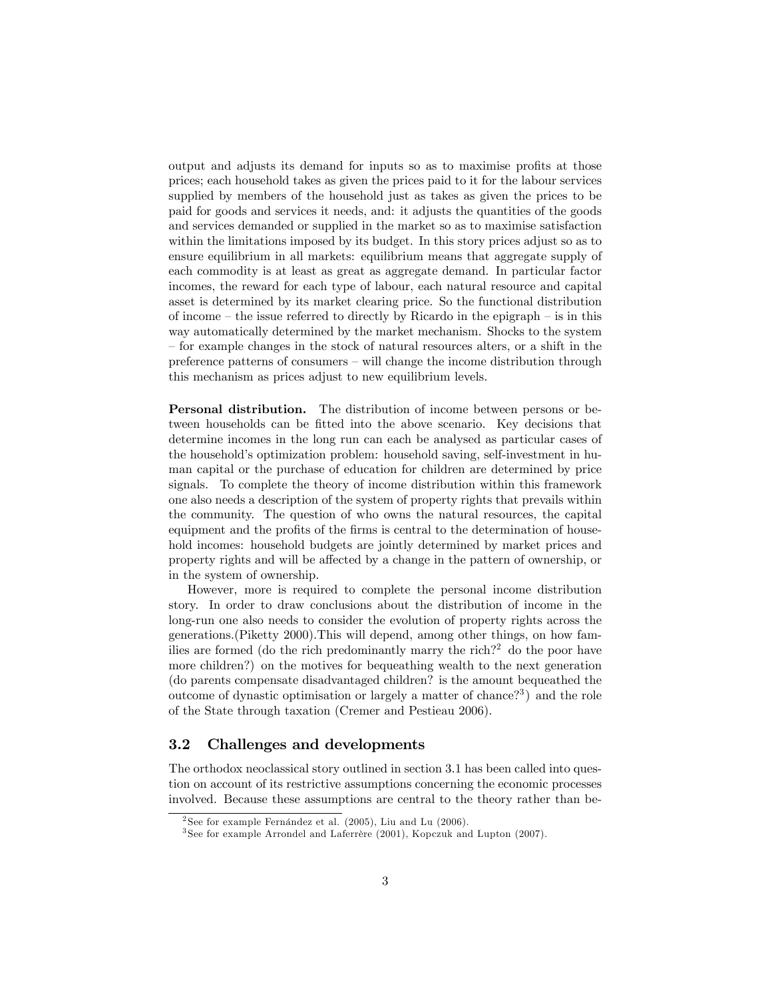output and adjusts its demand for inputs so as to maximise profits at those prices; each household takes as given the prices paid to it for the labour services supplied by members of the household just as takes as given the prices to be paid for goods and services it needs, and: it adjusts the quantities of the goods and services demanded or supplied in the market so as to maximise satisfaction within the limitations imposed by its budget. In this story prices adjust so as to ensure equilibrium in all markets: equilibrium means that aggregate supply of each commodity is at least as great as aggregate demand. In particular factor incomes, the reward for each type of labour, each natural resource and capital asset is determined by its market clearing price. So the functional distribution of income – the issue referred to directly by Ricardo in the epigraph – is in this way automatically determined by the market mechanism. Shocks to the system – for example changes in the stock of natural resources alters, or a shift in the preference patterns of consumers  $-\text{will change the income distribution through}$ this mechanism as prices adjust to new equilibrium levels.

Personal distribution. The distribution of income between persons or between households can be fitted into the above scenario. Key decisions that determine incomes in the long run can each be analysed as particular cases of the household's optimization problem: household saving, self-investment in human capital or the purchase of education for children are determined by price signals. To complete the theory of income distribution within this framework one also needs a description of the system of property rights that prevails within the community. The question of who owns the natural resources, the capital equipment and the profits of the firms is central to the determination of household incomes: household budgets are jointly determined by market prices and property rights and will be affected by a change in the pattern of ownership, or in the system of ownership.

However, more is required to complete the personal income distribution story. In order to draw conclusions about the distribution of income in the long-run one also needs to consider the evolution of property rights across the generations.(Piketty 2000).This will depend, among other things, on how families are formed (do the rich predominantly marry the rich?<sup>2</sup> do the poor have more children?) on the motives for bequeathing wealth to the next generation (do parents compensate disadvantaged children? is the amount bequeathed the outcome of dynastic optimisation or largely a matter of chance?<sup>3</sup> ) and the role of the State through taxation (Cremer and Pestieau 2006).

#### 3.2 Challenges and developments

The orthodox neoclassical story outlined in section 3.1 has been called into question on account of its restrictive assumptions concerning the economic processes involved. Because these assumptions are central to the theory rather than be-

<sup>&</sup>lt;sup>2</sup> See for example Fernández et al.  $(2005)$ , Liu and Lu  $(2006)$ .

 $3$  See for example Arrondel and Laferrère (2001), Kopczuk and Lupton (2007).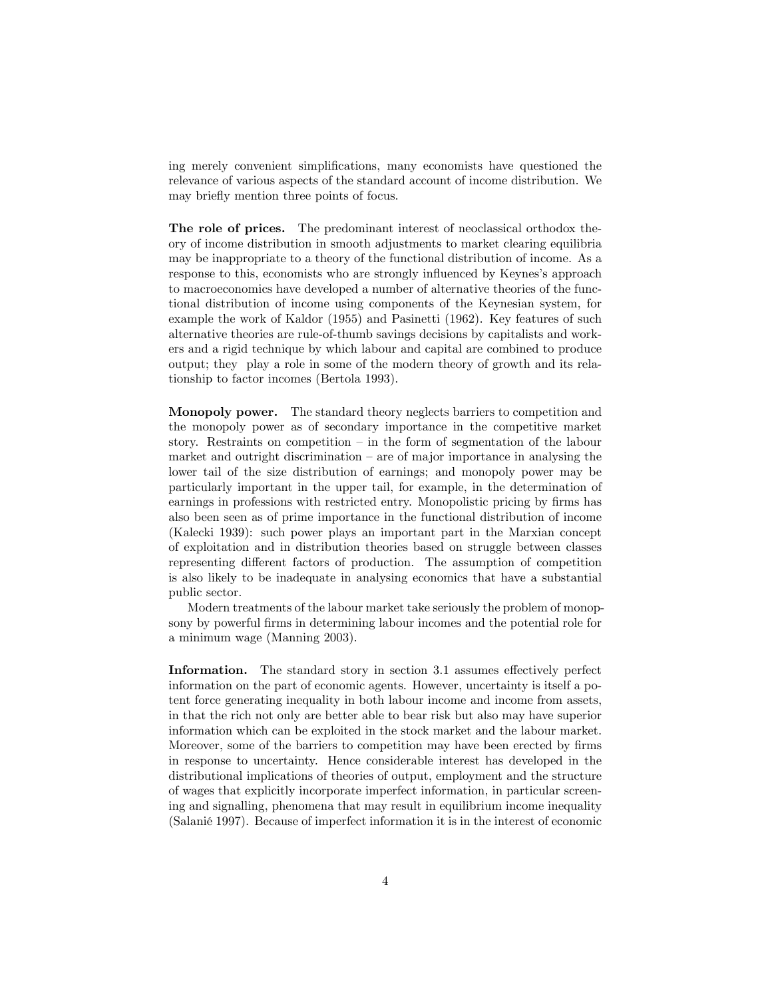ing merely convenient simplifications, many economists have questioned the relevance of various aspects of the standard account of income distribution. We may briefly mention three points of focus.

The role of prices. The predominant interest of neoclassical orthodox theory of income distribution in smooth adjustments to market clearing equilibria may be inappropriate to a theory of the functional distribution of income. As a response to this, economists who are strongly influenced by Keynes's approach to macroeconomics have developed a number of alternative theories of the functional distribution of income using components of the Keynesian system, for example the work of Kaldor (1955) and Pasinetti (1962). Key features of such alternative theories are rule-of-thumb savings decisions by capitalists and workers and a rigid technique by which labour and capital are combined to produce output; they play a role in some of the modern theory of growth and its relationship to factor incomes (Bertola 1993).

Monopoly power. The standard theory neglects barriers to competition and the monopoly power as of secondary importance in the competitive market story. Restraints on competition  $\overline{\phantom{a}}$  in the form of segmentation of the labour market and outright discrimination  $-$  are of major importance in analysing the lower tail of the size distribution of earnings; and monopoly power may be particularly important in the upper tail, for example, in the determination of earnings in professions with restricted entry. Monopolistic pricing by firms has also been seen as of prime importance in the functional distribution of income (Kalecki 1939): such power plays an important part in the Marxian concept of exploitation and in distribution theories based on struggle between classes representing different factors of production. The assumption of competition is also likely to be inadequate in analysing economics that have a substantial public sector.

Modern treatments of the labour market take seriously the problem of monopsony by powerful firms in determining labour incomes and the potential role for a minimum wage (Manning 2003).

Information. The standard story in section 3.1 assumes effectively perfect information on the part of economic agents. However, uncertainty is itself a potent force generating inequality in both labour income and income from assets, in that the rich not only are better able to bear risk but also may have superior information which can be exploited in the stock market and the labour market. Moreover, some of the barriers to competition may have been erected by firms in response to uncertainty. Hence considerable interest has developed in the distributional implications of theories of output, employment and the structure of wages that explicitly incorporate imperfect information, in particular screening and signalling, phenomena that may result in equilibrium income inequality (SalaniÈ 1997). Because of imperfect information it is in the interest of economic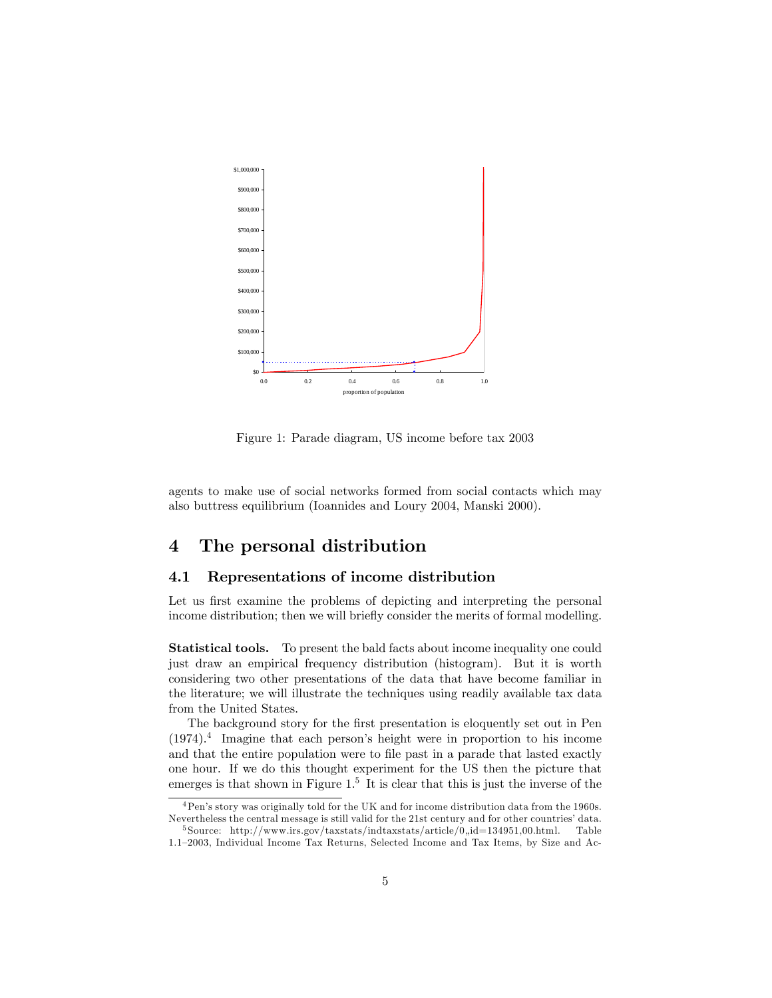

Figure 1: Parade diagram, US income before tax 2003

agents to make use of social networks formed from social contacts which may also buttress equilibrium (Ioannides and Loury 2004, Manski 2000).

## 4 The personal distribution

#### 4.1 Representations of income distribution

Let us first examine the problems of depicting and interpreting the personal income distribution; then we will briefly consider the merits of formal modelling.

Statistical tools. To present the bald facts about income inequality one could just draw an empirical frequency distribution (histogram). But it is worth considering two other presentations of the data that have become familiar in the literature; we will illustrate the techniques using readily available tax data from the United States.

The background story for the first presentation is eloquently set out in Pen  $(1974).<sup>4</sup>$  Imagine that each person's height were in proportion to his income and that the entire population were to file past in a parade that lasted exactly one hour. If we do this thought experiment for the US then the picture that emerges is that shown in Figure  $1<sup>5</sup>$  It is clear that this is just the inverse of the

<sup>&</sup>lt;sup>4</sup>Pen's story was originally told for the UK and for income distribution data from the 1960s. Nevertheless the central message is still valid for the 21st century and for other countries' data.

 $5$ Source: http://www.irs.gov/taxstats/indtaxstats/article/0,,id=134951,00.html. Table 1.1–2003, Individual Income Tax Returns, Selected Income and Tax Items, by Size and Ac-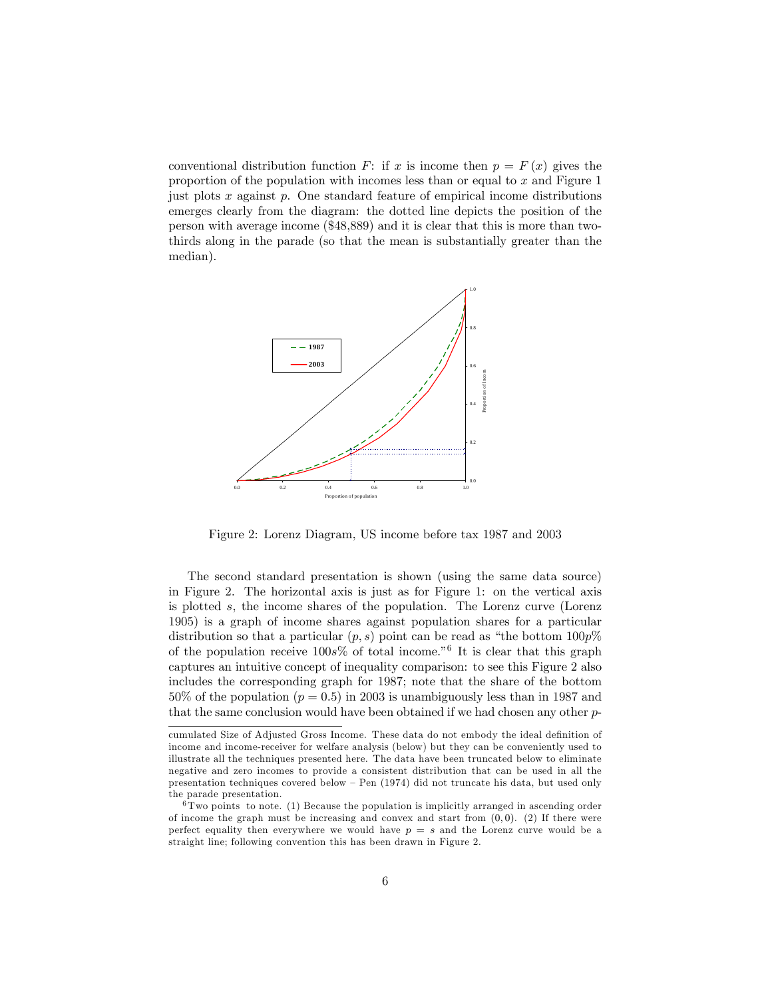conventional distribution function F: if x is income then  $p = F(x)$  gives the proportion of the population with incomes less than or equal to  $x$  and Figure 1 just plots x against  $p$ . One standard feature of empirical income distributions emerges clearly from the diagram: the dotted line depicts the position of the person with average income (\$48,889) and it is clear that this is more than twothirds along in the parade (so that the mean is substantially greater than the median).



Figure 2: Lorenz Diagram, US income before tax 1987 and 2003

The second standard presentation is shown (using the same data source) in Figure 2. The horizontal axis is just as for Figure 1: on the vertical axis is plotted s, the income shares of the population. The Lorenz curve (Lorenz 1905) is a graph of income shares against population shares for a particular distribution so that a particular  $(p, s)$  point can be read as "the bottom 100p% of the population receive  $100s\%$  of total income.<sup>86</sup> It is clear that this graph captures an intuitive concept of inequality comparison: to see this Figure 2 also includes the corresponding graph for 1987; note that the share of the bottom 50% of the population ( $p = 0.5$ ) in 2003 is unambiguously less than in 1987 and that the same conclusion would have been obtained if we had chosen any other p-

cumulated Size of Adjusted Gross Income. These data do not embody the ideal definition of income and income-receiver for welfare analysis (below) but they can be conveniently used to illustrate all the techniques presented here. The data have been truncated below to eliminate negative and zero incomes to provide a consistent distribution that can be used in all the presentation techniques covered below  $P$ en (1974) did not truncate his data, but used only the parade presentation.

 $6$ Two points to note. (1) Because the population is implicitly arranged in ascending order of income the graph must be increasing and convex and start from  $(0, 0)$ . (2) If there were perfect equality then everywhere we would have  $p = s$  and the Lorenz curve would be a straight line; following convention this has been drawn in Figure 2.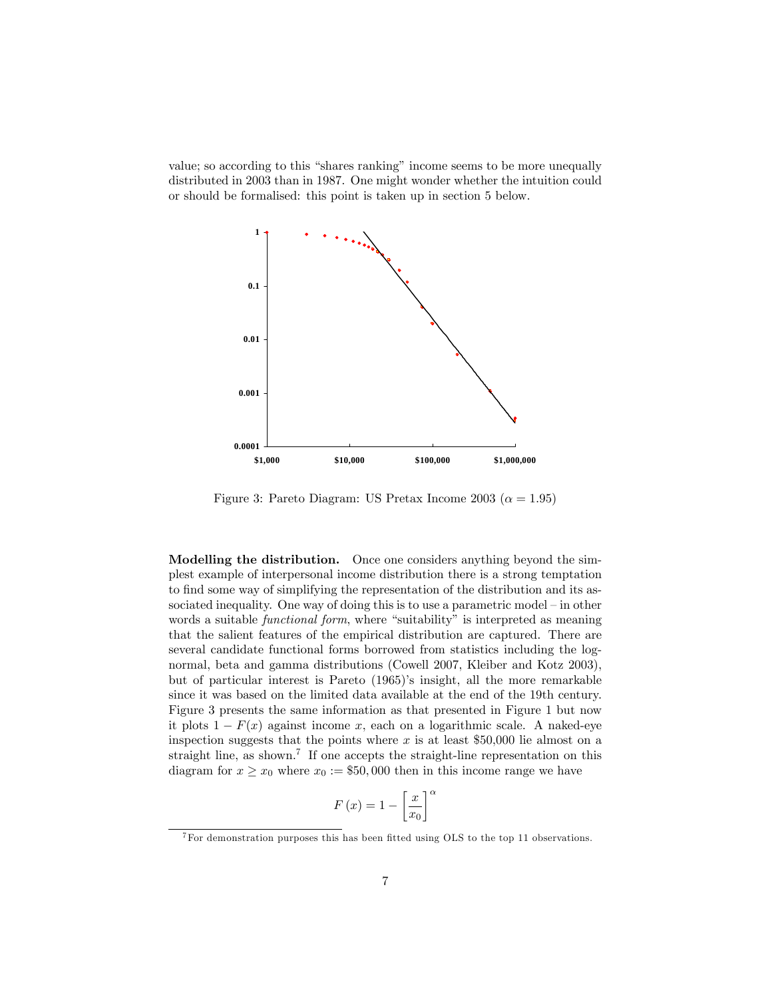value; so according to this "shares ranking" income seems to be more unequally distributed in 2003 than in 1987. One might wonder whether the intuition could or should be formalised: this point is taken up in section 5 below.



Figure 3: Pareto Diagram: US Pretax Income 2003 ( $\alpha = 1.95$ )

Modelling the distribution. Once one considers anything beyond the simplest example of interpersonal income distribution there is a strong temptation to find some way of simplifying the representation of the distribution and its associated inequality. One way of doing this is to use a parametric model  $-\text{in other}$ words a suitable *functional form*, where "suitability" is interpreted as meaning that the salient features of the empirical distribution are captured. There are several candidate functional forms borrowed from statistics including the lognormal, beta and gamma distributions (Cowell 2007, Kleiber and Kotz 2003), but of particular interest is Pareto (1965)'s insight, all the more remarkable since it was based on the limited data available at the end of the 19th century. Figure 3 presents the same information as that presented in Figure 1 but now it plots  $1 - F(x)$  against income x, each on a logarithmic scale. A naked-eye inspection suggests that the points where  $x$  is at least \$50,000 lie almost on a straight line, as shown.<sup>7</sup> If one accepts the straight-line representation on this diagram for  $x \ge x_0$  where  $x_0 := $50,000$  then in this income range we have

$$
F(x) = 1 - \left[\frac{x}{x_0}\right]^\alpha
$$

 $7$ For demonstration purposes this has been fitted using OLS to the top 11 observations.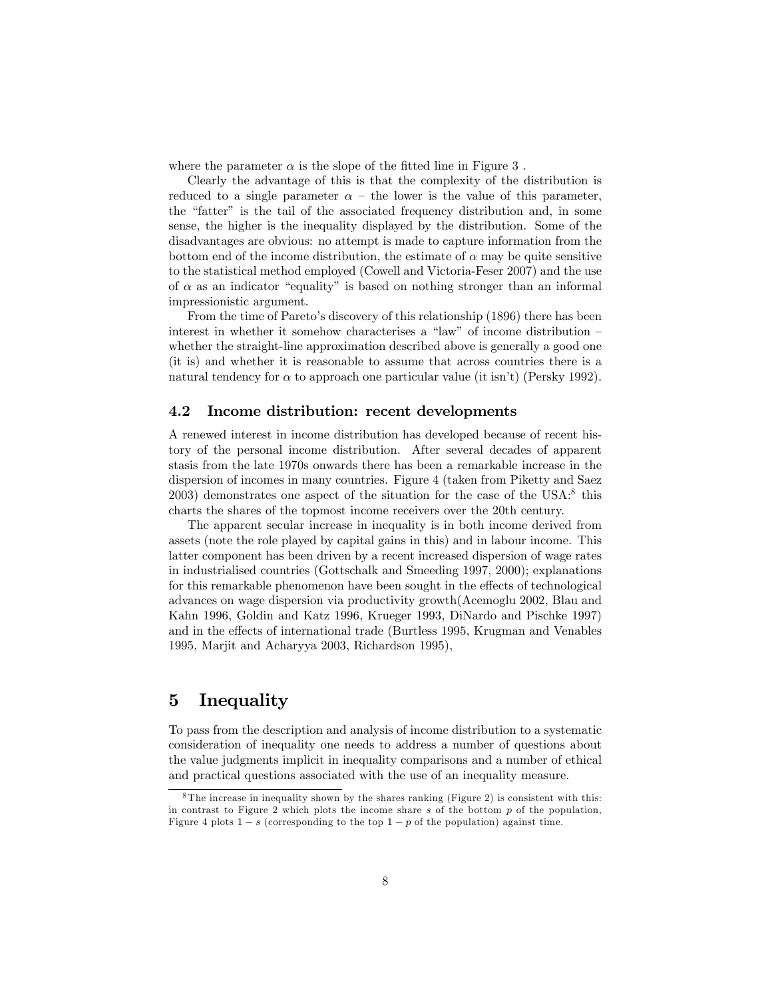where the parameter  $\alpha$  is the slope of the fitted line in Figure 3.

Clearly the advantage of this is that the complexity of the distribution is reduced to a single parameter  $\alpha$  – the lower is the value of this parameter, the "fatter" is the tail of the associated frequency distribution and, in some sense, the higher is the inequality displayed by the distribution. Some of the disadvantages are obvious: no attempt is made to capture information from the bottom end of the income distribution, the estimate of  $\alpha$  may be quite sensitive to the statistical method employed (Cowell and Victoria-Feser 2007) and the use of  $\alpha$  as an indicator "equality" is based on nothing stronger than an informal impressionistic argument.

From the time of Pareto's discovery of this relationship (1896) there has been interest in whether it somehow characterises a "law" of income distribution whether the straight-line approximation described above is generally a good one (it is) and whether it is reasonable to assume that across countries there is a natural tendency for  $\alpha$  to approach one particular value (it isn't) (Persky 1992).

#### 4.2 Income distribution: recent developments

A renewed interest in income distribution has developed because of recent history of the personal income distribution. After several decades of apparent stasis from the late 1970s onwards there has been a remarkable increase in the dispersion of incomes in many countries. Figure 4 (taken from Piketty and Saez  $2003$ ) demonstrates one aspect of the situation for the case of the USA:<sup>8</sup> this charts the shares of the topmost income receivers over the 20th century.

The apparent secular increase in inequality is in both income derived from assets (note the role played by capital gains in this) and in labour income. This latter component has been driven by a recent increased dispersion of wage rates in industrialised countries (Gottschalk and Smeeding 1997, 2000); explanations for this remarkable phenomenon have been sought in the effects of technological advances on wage dispersion via productivity growth(Acemoglu 2002, Blau and Kahn 1996, Goldin and Katz 1996, Krueger 1993, DiNardo and Pischke 1997) and in the effects of international trade (Burtless 1995, Krugman and Venables 1995, Marjit and Acharyya 2003, Richardson 1995),

## 5 Inequality

To pass from the description and analysis of income distribution to a systematic consideration of inequality one needs to address a number of questions about the value judgments implicit in inequality comparisons and a number of ethical and practical questions associated with the use of an inequality measure.

 $8$ The increase in inequality shown by the shares ranking (Figure 2) is consistent with this: in contrast to Figure 2 which plots the income share  $s$  of the bottom  $p$  of the population, Figure 4 plots  $1 - s$  (corresponding to the top  $1 - p$  of the population) against time.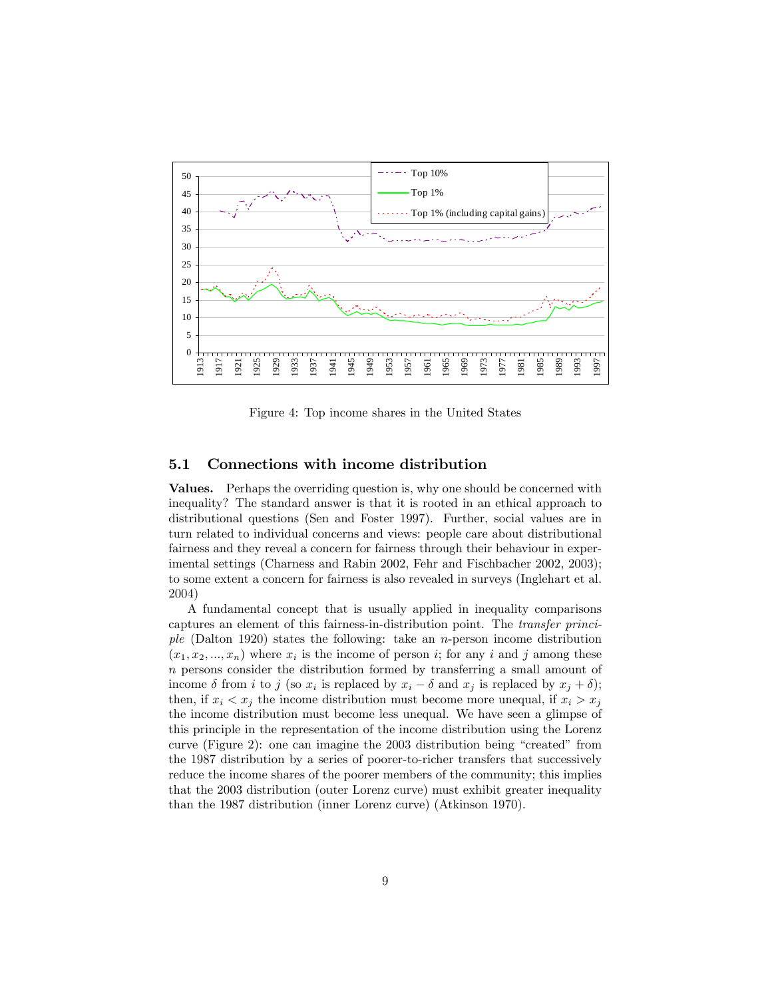

Figure 4: Top income shares in the United States

#### 5.1 Connections with income distribution

Values. Perhaps the overriding question is, why one should be concerned with inequality? The standard answer is that it is rooted in an ethical approach to distributional questions (Sen and Foster 1997). Further, social values are in turn related to individual concerns and views: people care about distributional fairness and they reveal a concern for fairness through their behaviour in experimental settings (Charness and Rabin 2002, Fehr and Fischbacher 2002, 2003); to some extent a concern for fairness is also revealed in surveys (Inglehart et al. 2004)

A fundamental concept that is usually applied in inequality comparisons captures an element of this fairness-in-distribution point. The transfer principle (Dalton 1920) states the following: take an *n*-person income distribution  $(x_1, x_2, ..., x_n)$  where  $x_i$  is the income of person *i*; for any *i* and *j* among these n persons consider the distribution formed by transferring a small amount of income  $\delta$  from i to j (so  $x_i$  is replaced by  $x_i - \delta$  and  $x_j$  is replaced by  $x_j + \delta$ ); then, if  $x_i < x_j$  the income distribution must become more unequal, if  $x_i > x_j$ the income distribution must become less unequal. We have seen a glimpse of this principle in the representation of the income distribution using the Lorenz curve (Figure 2): one can imagine the  $2003$  distribution being "created" from the 1987 distribution by a series of poorer-to-richer transfers that successively reduce the income shares of the poorer members of the community; this implies that the 2003 distribution (outer Lorenz curve) must exhibit greater inequality than the 1987 distribution (inner Lorenz curve) (Atkinson 1970).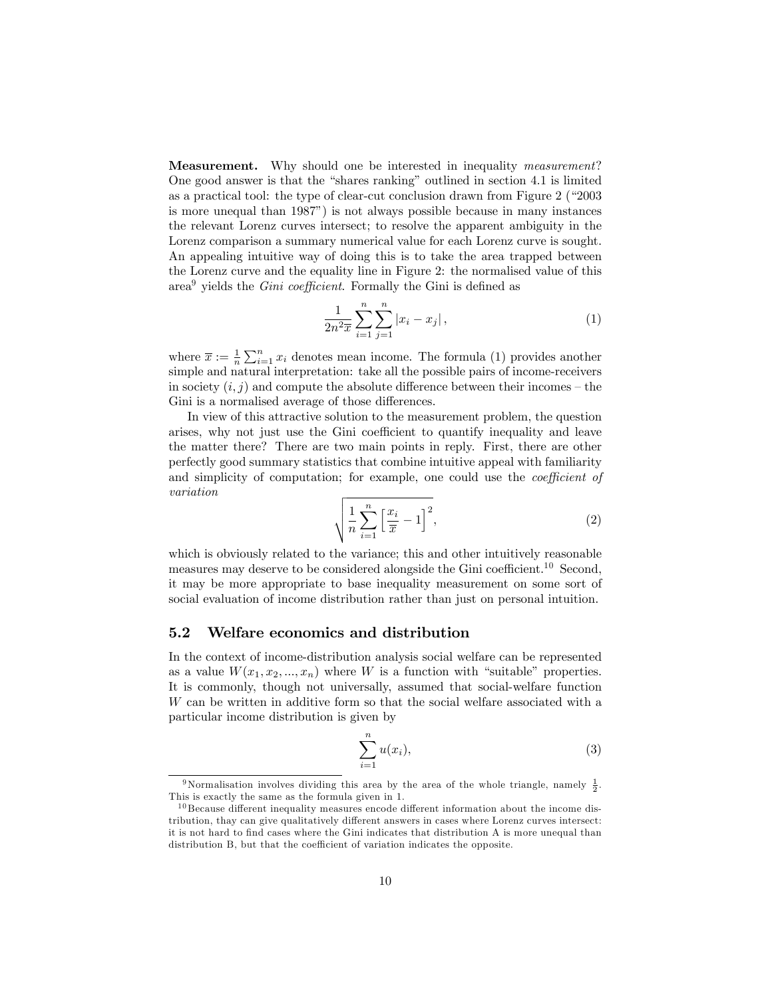Measurement. Why should one be interested in inequality measurement? One good answer is that the "shares ranking" outlined in section 4.1 is limited as a practical tool: the type of clear-cut conclusion drawn from Figure  $2$  ( $\degree$ 2003) is more unequal than  $1987$ ") is not always possible because in many instances the relevant Lorenz curves intersect; to resolve the apparent ambiguity in the Lorenz comparison a summary numerical value for each Lorenz curve is sought. An appealing intuitive way of doing this is to take the area trapped between the Lorenz curve and the equality line in Figure 2: the normalised value of this area<sup>9</sup> yields the *Gini coefficient*. Formally the Gini is defined as

$$
\frac{1}{2n^2\overline{x}}\sum_{i=1}^n\sum_{j=1}^n|x_i - x_j|,\tag{1}
$$

where  $\bar{x} := \frac{1}{n} \sum_{i=1}^{n} x_i$  denotes mean income. The formula (1) provides another simple and natural interpretation: take all the possible pairs of income-receivers in society  $(i, j)$  and compute the absolute difference between their incomes – the Gini is a normalised average of those differences.

In view of this attractive solution to the measurement problem, the question arises, why not just use the Gini coefficient to quantify inequality and leave the matter there? There are two main points in reply. First, there are other perfectly good summary statistics that combine intuitive appeal with familiarity and simplicity of computation; for example, one could use the *coefficient of* variation

$$
\sqrt{\frac{1}{n} \sum_{i=1}^{n} \left[\frac{x_i}{\overline{x}} - 1\right]^2},\tag{2}
$$

which is obviously related to the variance; this and other intuitively reasonable measures may deserve to be considered alongside the Gini coefficient.<sup>10</sup> Second, it may be more appropriate to base inequality measurement on some sort of social evaluation of income distribution rather than just on personal intuition.

#### 5.2 Welfare economics and distribution

In the context of income-distribution analysis social welfare can be represented as a value  $W(x_1, x_2, ..., x_n)$  where W is a function with "suitable" properties. It is commonly, though not universally, assumed that social-welfare function W can be written in additive form so that the social welfare associated with a particular income distribution is given by

$$
\sum_{i=1}^{n} u(x_i),\tag{3}
$$

<sup>&</sup>lt;sup>9</sup>Normalisation involves dividing this area by the area of the whole triangle, namely  $\frac{1}{2}$ . This is exactly the same as the formula given in 1.

 $10$  Because different inequality measures encode different information about the income distribution, thay can give qualitatively different answers in cases where Lorenz curves intersect: it is not hard to Önd cases where the Gini indicates that distribution A is more unequal than distribution B, but that the coefficient of variation indicates the opposite.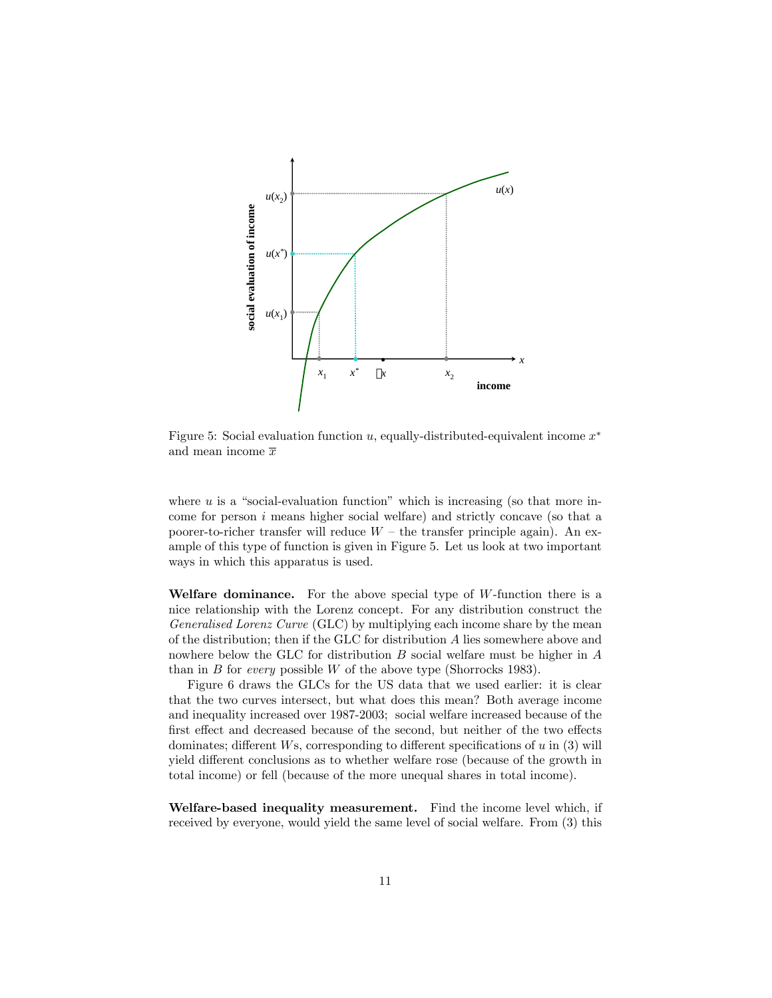

Figure 5: Social evaluation function u, equally-distributed-equivalent income  $x^*$ and mean income  $\bar{x}$ 

where  $u$  is a "social-evaluation function" which is increasing (so that more income for person i means higher social welfare) and strictly concave (so that a poorer-to-richer transfer will reduce  $W$  – the transfer principle again). An example of this type of function is given in Figure 5. Let us look at two important ways in which this apparatus is used.

Welfare dominance. For the above special type of  $W$ -function there is a nice relationship with the Lorenz concept. For any distribution construct the Generalised Lorenz Curve (GLC) by multiplying each income share by the mean of the distribution; then if the GLC for distribution A lies somewhere above and nowhere below the GLC for distribution B social welfare must be higher in A than in  $B$  for every possible  $W$  of the above type (Shorrocks 1983).

Figure 6 draws the GLCs for the US data that we used earlier: it is clear that the two curves intersect, but what does this mean? Both average income and inequality increased over 1987-2003; social welfare increased because of the first effect and decreased because of the second, but neither of the two effects dominates; different Ws, corresponding to different specifications of u in  $(3)$  will yield different conclusions as to whether welfare rose (because of the growth in total income) or fell (because of the more unequal shares in total income).

Welfare-based inequality measurement. Find the income level which, if received by everyone, would yield the same level of social welfare. From (3) this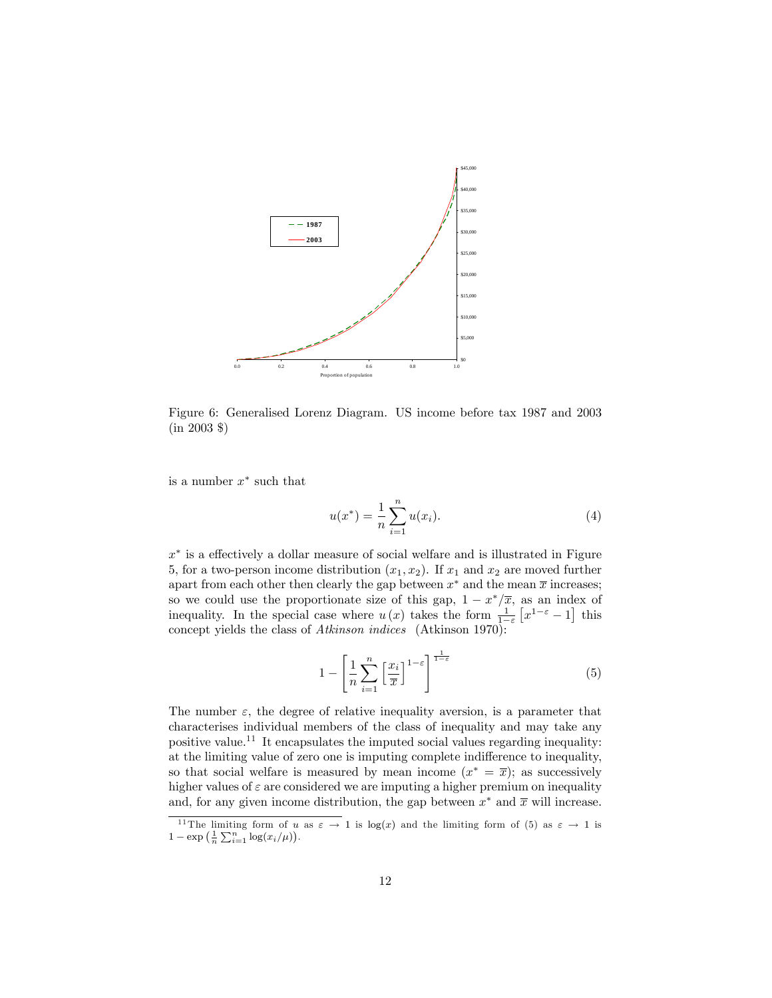

Figure 6: Generalised Lorenz Diagram. US income before tax 1987 and 2003 (in 2003 \$)

is a number  $x^*$  such that

$$
u(x^*) = \frac{1}{n} \sum_{i=1}^{n} u(x_i).
$$
 (4)

 $x^*$  is a effectively a dollar measure of social welfare and is illustrated in Figure 5, for a two-person income distribution  $(x_1, x_2)$ . If  $x_1$  and  $x_2$  are moved further apart from each other then clearly the gap between  $x^*$  and the mean  $\overline{x}$  increases; so we could use the proportionate size of this gap,  $1 - x^*/\overline{x}$ , as an index of inequality. In the special case where  $u(x)$  takes the form  $\frac{1}{1-\varepsilon} [x^{1-\varepsilon}-1]$  this concept yields the class of Atkinson indices (Atkinson 1970):

$$
1 - \left[\frac{1}{n}\sum_{i=1}^{n} \left[\frac{x_i}{\overline{x}}\right]^{1-\varepsilon}\right]^{\frac{1}{1-\varepsilon}}
$$
(5)

The number  $\varepsilon$ , the degree of relative inequality aversion, is a parameter that characterises individual members of the class of inequality and may take any positive value.<sup>11</sup> It encapsulates the imputed social values regarding inequality: at the limiting value of zero one is imputing complete indifference to inequality, so that social welfare is measured by mean income  $(x^* = \overline{x})$ ; as successively higher values of  $\varepsilon$  are considered we are imputing a higher premium on inequality and, for any given income distribution, the gap between  $x^*$  and  $\overline{x}$  will increase.

<sup>&</sup>lt;sup>11</sup> The limiting form of u as  $\varepsilon \to 1$  is log(x) and the limiting form of (5) as  $\varepsilon \to 1$  is 1 –  $\exp\left(\frac{1}{n}\sum_{i=1}^n\log(x_i/\mu)\right)$ .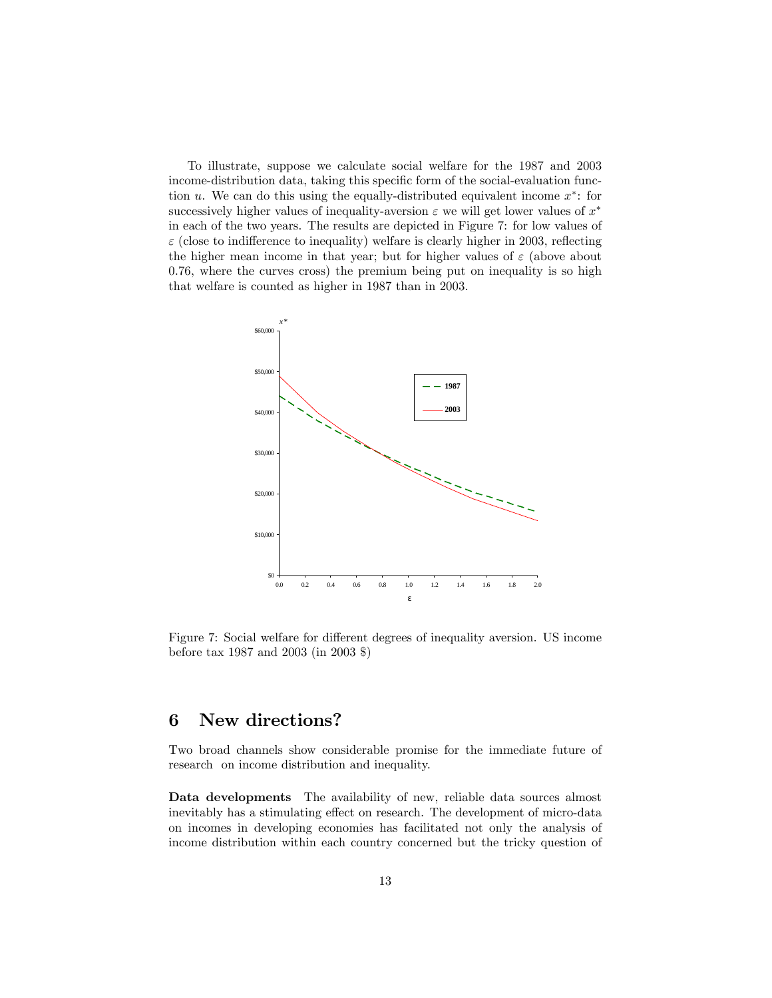To illustrate, suppose we calculate social welfare for the 1987 and 2003 income-distribution data, taking this specific form of the social-evaluation function  $u$ . We can do this using the equally-distributed equivalent income  $x^*$ : for successively higher values of inequality-aversion  $\varepsilon$  we will get lower values of  $x^*$ in each of the two years. The results are depicted in Figure 7: for low values of  $\varepsilon$  (close to indifference to inequality) welfare is clearly higher in 2003, reflecting the higher mean income in that year; but for higher values of  $\varepsilon$  (above about 0.76, where the curves cross) the premium being put on inequality is so high that welfare is counted as higher in 1987 than in 2003.



Figure 7: Social welfare for different degrees of inequality aversion. US income before tax 1987 and 2003 (in 2003 \$)

## 6 New directions?

Two broad channels show considerable promise for the immediate future of research on income distribution and inequality.

Data developments The availability of new, reliable data sources almost inevitably has a stimulating effect on research. The development of micro-data on incomes in developing economies has facilitated not only the analysis of income distribution within each country concerned but the tricky question of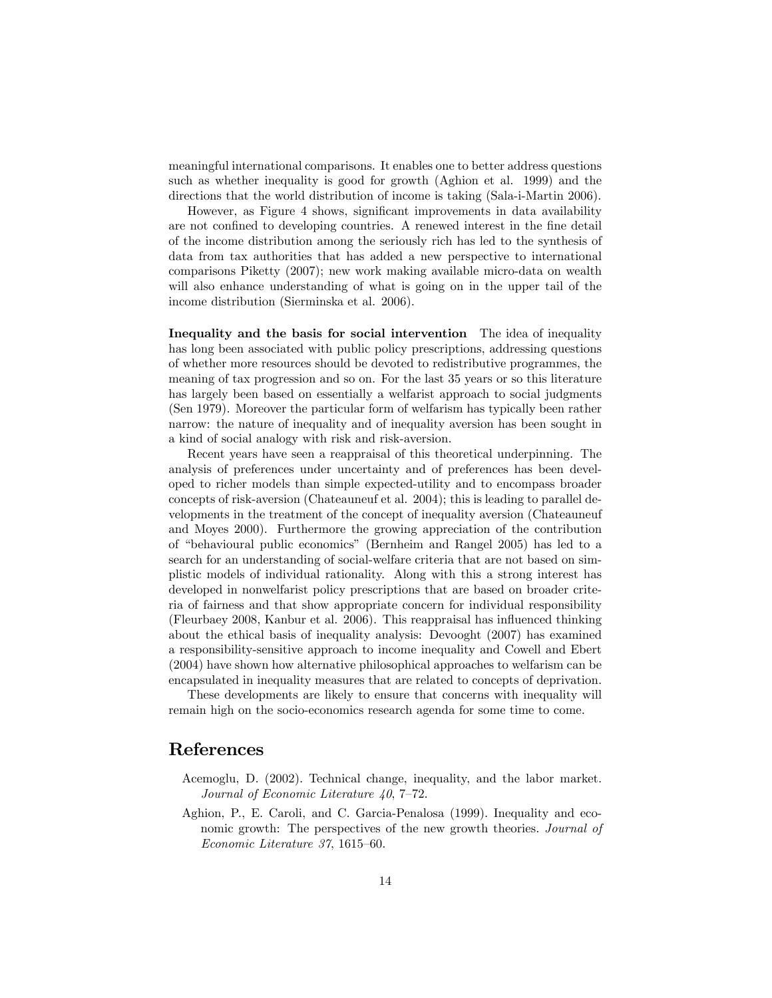meaningful international comparisons. It enables one to better address questions such as whether inequality is good for growth (Aghion et al. 1999) and the directions that the world distribution of income is taking (Sala-i-Martin 2006).

However, as Figure 4 shows, significant improvements in data availability are not confined to developing countries. A renewed interest in the fine detail of the income distribution among the seriously rich has led to the synthesis of data from tax authorities that has added a new perspective to international comparisons Piketty (2007); new work making available micro-data on wealth will also enhance understanding of what is going on in the upper tail of the income distribution (Sierminska et al. 2006).

Inequality and the basis for social intervention The idea of inequality has long been associated with public policy prescriptions, addressing questions of whether more resources should be devoted to redistributive programmes, the meaning of tax progression and so on. For the last 35 years or so this literature has largely been based on essentially a welfarist approach to social judgments (Sen 1979). Moreover the particular form of welfarism has typically been rather narrow: the nature of inequality and of inequality aversion has been sought in a kind of social analogy with risk and risk-aversion.

Recent years have seen a reappraisal of this theoretical underpinning. The analysis of preferences under uncertainty and of preferences has been developed to richer models than simple expected-utility and to encompass broader concepts of risk-aversion (Chateauneuf et al. 2004); this is leading to parallel developments in the treatment of the concept of inequality aversion (Chateauneuf and Moyes 2000). Furthermore the growing appreciation of the contribution of "behavioural public economics" (Bernheim and Rangel 2005) has led to a search for an understanding of social-welfare criteria that are not based on simplistic models of individual rationality. Along with this a strong interest has developed in nonwelfarist policy prescriptions that are based on broader criteria of fairness and that show appropriate concern for individual responsibility (Fleurbaey 2008, Kanbur et al. 2006). This reappraisal has influenced thinking about the ethical basis of inequality analysis: Devooght (2007) has examined a responsibility-sensitive approach to income inequality and Cowell and Ebert (2004) have shown how alternative philosophical approaches to welfarism can be encapsulated in inequality measures that are related to concepts of deprivation.

These developments are likely to ensure that concerns with inequality will remain high on the socio-economics research agenda for some time to come.

#### References

- Acemoglu, D. (2002). Technical change, inequality, and the labor market. Journal of Economic Literature  $\mu$ 0, 7–72.
- Aghion, P., E. Caroli, and C. Garcia-Penalosa (1999). Inequality and economic growth: The perspectives of the new growth theories. Journal of  $Economic$  Literature 37, 1615-60.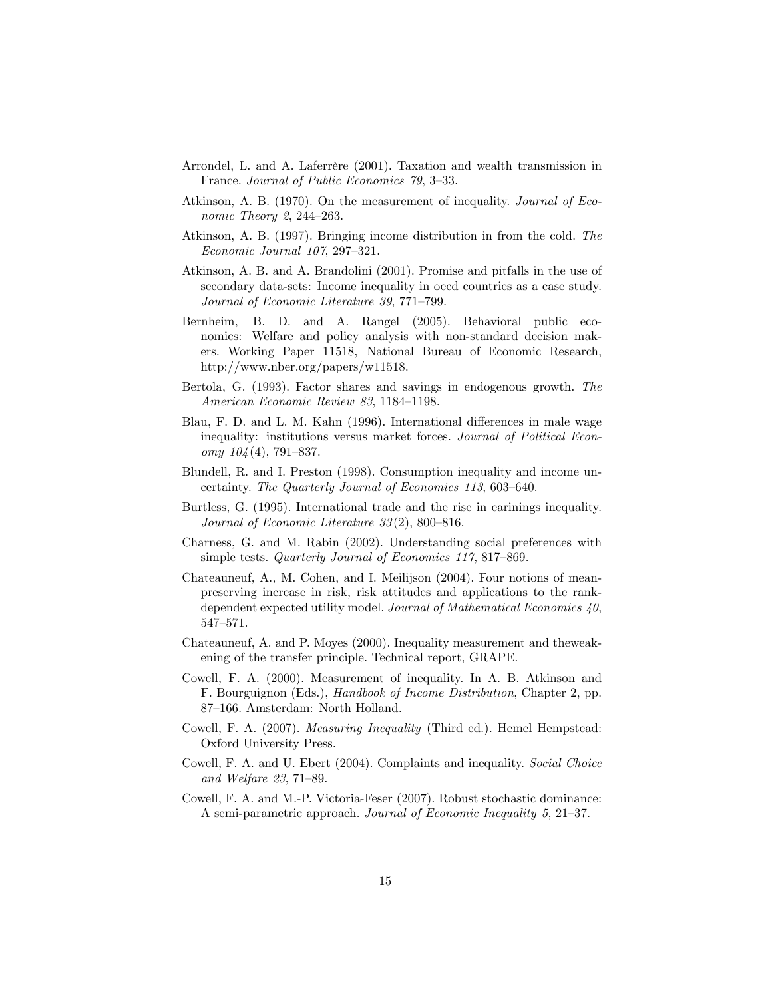- Arrondel, L. and A. Laferrère (2001). Taxation and wealth transmission in France. Journal of Public Economics 79, 3-33.
- Atkinson, A. B. (1970). On the measurement of inequality. Journal of Economic Theory 2, 244–263.
- Atkinson, A. B. (1997). Bringing income distribution in from the cold. The  $Economic Journal$  107, 297-321.
- Atkinson, A. B. and A. Brandolini (2001). Promise and pitfalls in the use of secondary data-sets: Income inequality in oecd countries as a case study. Journal of Economic Literature 39, 771–799.
- Bernheim, B. D. and A. Rangel (2005). Behavioral public economics: Welfare and policy analysis with non-standard decision makers. Working Paper 11518, National Bureau of Economic Research, http://www.nber.org/papers/w11518.
- Bertola, G. (1993). Factor shares and savings in endogenous growth. The American Economic Review 83, 1184-1198.
- Blau, F. D. and L. M. Kahn (1996). International differences in male wage inequality: institutions versus market forces. Journal of Political Economy  $104(4)$ , 791–837.
- Blundell, R. and I. Preston (1998). Consumption inequality and income uncertainty. The Quarterly Journal of Economics 113, 603-640.
- Burtless, G. (1995). International trade and the rise in earinings inequality. Journal of Economic Literature  $33(2)$ , 800-816.
- Charness, G. and M. Rabin (2002). Understanding social preferences with simple tests. Quarterly Journal of Economics 117, 817–869.
- Chateauneuf, A., M. Cohen, and I. Meilijson (2004). Four notions of meanpreserving increase in risk, risk attitudes and applications to the rankdependent expected utility model. Journal of Mathematical Economics 40, 547-571.
- Chateauneuf, A. and P. Moyes (2000). Inequality measurement and theweakening of the transfer principle. Technical report, GRAPE.
- Cowell, F. A. (2000). Measurement of inequality. In A. B. Atkinson and F. Bourguignon (Eds.), Handbook of Income Distribution, Chapter 2, pp. 87–166. Amsterdam: North Holland.
- Cowell, F. A. (2007). Measuring Inequality (Third ed.). Hemel Hempstead: Oxford University Press.
- Cowell, F. A. and U. Ebert (2004). Complaints and inequality. Social Choice and Welfare  $23, 71-89$ .
- Cowell, F. A. and M.-P. Victoria-Feser (2007). Robust stochastic dominance: A semi-parametric approach. Journal of Economic Inequality 5,  $21-37$ .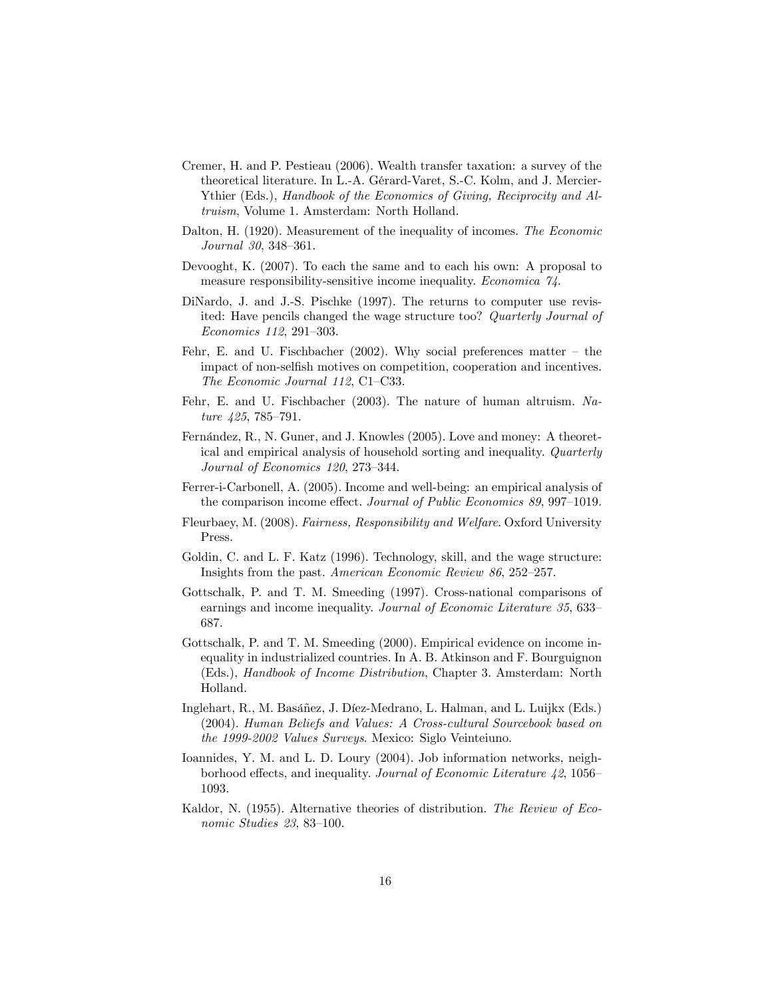- Cremer, H. and P. Pestieau (2006). Wealth transfer taxation: a survey of the theoretical literature. In L.-A. Gérard-Varet, S.-C. Kolm, and J. Mercier-Ythier (Eds.), Handbook of the Economics of Giving, Reciprocity and Altruism, Volume 1. Amsterdam: North Holland.
- Dalton, H. (1920). Measurement of the inequality of incomes. The Economic  $Journal 30, 348–361.$
- Devooght, K. (2007). To each the same and to each his own: A proposal to measure responsibility-sensitive income inequality. *Economica* 74.
- DiNardo, J. and J.-S. Pischke (1997). The returns to computer use revisited: Have pencils changed the wage structure too? Quarterly Journal of Economics 112, 291-303.
- Fehr, E. and U. Fischbacher (2002). Why social preferences matter  $-$  the impact of non-selfish motives on competition, cooperation and incentives. The Economic Journal 112,  $C1-C33$ .
- Fehr, E. and U. Fischbacher (2003). The nature of human altruism. Nature  $425, 785 - 791.$
- Fernández, R., N. Guner, and J. Knowles (2005). Love and money: A theoretical and empirical analysis of household sorting and inequality. Quarterly Journal of Economics  $120$ ,  $273-344$ .
- Ferrer-i-Carbonell, A. (2005). Income and well-being: an empirical analysis of the comparison income effect. Journal of Public Economics 89, 997–1019.
- Fleurbaey, M. (2008). Fairness, Responsibility and Welfare. Oxford University Press.
- Goldin, C. and L. F. Katz (1996). Technology, skill, and the wage structure: Insights from the past. American Economic Review 86, 252–257.
- Gottschalk, P. and T. M. Smeeding (1997). Cross-national comparisons of earnings and income inequality. Journal of Economic Literature 35, 633– 687.
- Gottschalk, P. and T. M. Smeeding (2000). Empirical evidence on income inequality in industrialized countries. In A. B. Atkinson and F. Bourguignon (Eds.), Handbook of Income Distribution, Chapter 3. Amsterdam: North Holland.
- Inglehart, R., M. Basáñez, J. Díez-Medrano, L. Halman, and L. Luijkx (Eds.) (2004). Human Beliefs and Values: A Cross-cultural Sourcebook based on the 1999-2002 Values Surveys. Mexico: Siglo Veinteiuno.
- Ioannides, Y. M. and L. D. Loury (2004). Job information networks, neighborhood effects, and inequality. Journal of Economic Literature  $42, 1056$ 1093.
- Kaldor, N. (1955). Alternative theories of distribution. The Review of Economic Studies  $23, 83-100$ .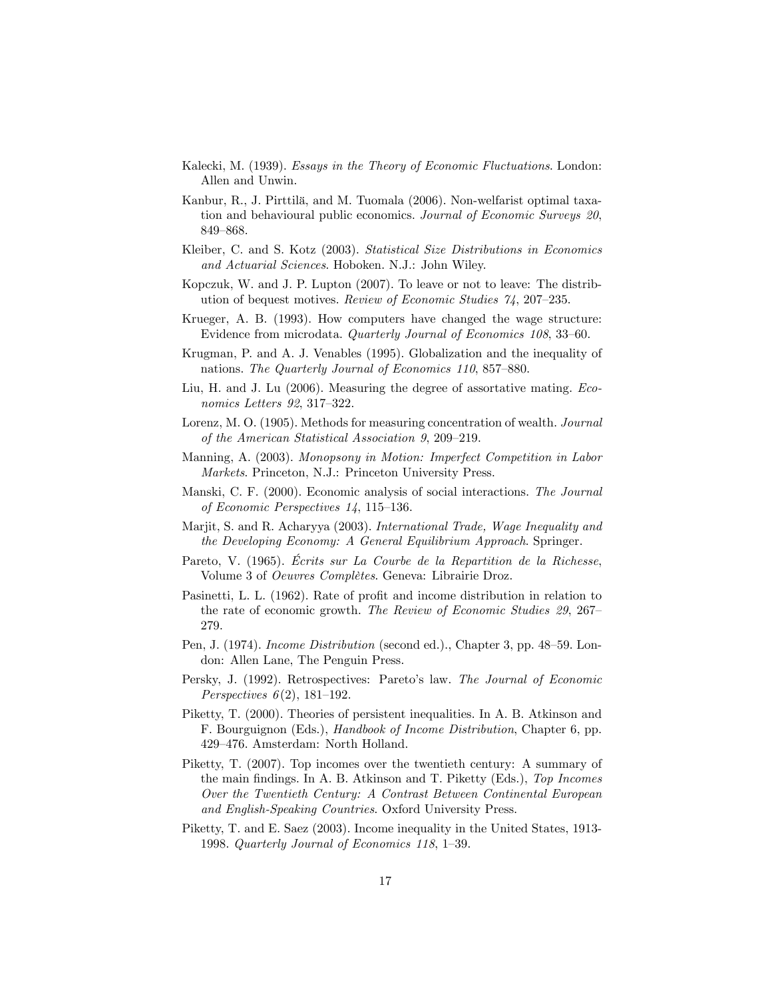- Kalecki, M. (1939). *Essays in the Theory of Economic Fluctuations*. London: Allen and Unwin.
- Kanbur, R., J. Pirttilä, and M. Tuomala (2006). Non-welfarist optimal taxation and behavioural public economics. Journal of Economic Surveys 20, 849-868.
- Kleiber, C. and S. Kotz (2003). Statistical Size Distributions in Economics and Actuarial Sciences. Hoboken. N.J.: John Wiley.
- Kopczuk, W. and J. P. Lupton (2007). To leave or not to leave: The distribution of bequest motives. Review of Economic Studies  $74$ , 207–235.
- Krueger, A. B. (1993). How computers have changed the wage structure: Evidence from microdata. Quarterly Journal of Economics 108, 33–60.
- Krugman, P. and A. J. Venables (1995). Globalization and the inequality of nations. The Quarterly Journal of Economics 110, 857-880.
- Liu, H. and J. Lu (2006). Measuring the degree of assortative mating. Economics Letters  $92, 317-322$ .
- Lorenz, M. O. (1905). Methods for measuring concentration of wealth. Journal of the American Statistical Association 9, 209–219.
- Manning, A. (2003). Monopsony in Motion: Imperfect Competition in Labor Markets. Princeton, N.J.: Princeton University Press.
- Manski, C. F. (2000). Economic analysis of social interactions. The Journal of Economic Perspectives  $14$ , 115–136.
- Marjit, S. and R. Acharyya (2003). International Trade, Wage Inequality and the Developing Economy: A General Equilibrium Approach. Springer.
- Pareto, V. (1965). Écrits sur La Courbe de la Repartition de la Richesse, Volume 3 of *Oeuvres Complètes*. Geneva: Librairie Droz.
- Pasinetti, L. L. (1962). Rate of profit and income distribution in relation to the rate of economic growth. The Review of Economic Studies 29, 267– 279.
- Pen, J. (1974). *Income Distribution* (second ed.)., Chapter 3, pp. 48–59. London: Allen Lane, The Penguin Press.
- Persky, J. (1992). Retrospectives: Pareto's law. The Journal of Economic Perspectives  $6(2)$ , 181–192.
- Piketty, T. (2000). Theories of persistent inequalities. In A. B. Atkinson and F. Bourguignon (Eds.), Handbook of Income Distribution, Chapter 6, pp. 429–476. Amsterdam: North Holland.
- Piketty, T. (2007). Top incomes over the twentieth century: A summary of the main findings. In A. B. Atkinson and T. Piketty (Eds.), Top Incomes Over the Twentieth Century: A Contrast Between Continental European and English-Speaking Countries. Oxford University Press.
- Piketty, T. and E. Saez (2003). Income inequality in the United States, 1913- 1998. Quarterly Journal of Economics  $118$ ,  $1-39$ .